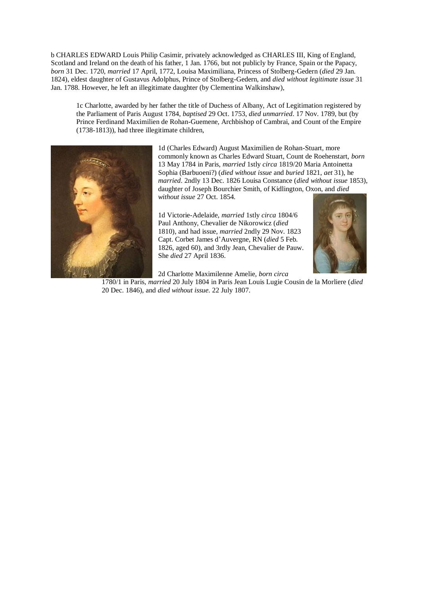b CHARLES EDWARD Louis Philip Casimir, privately acknowledged as CHARLES III, King of England, Scotland and Ireland on the death of his father, 1 Jan. 1766, but not publicly by France, Spain or the Papacy, *born* 31 Dec. 1720, *married* 17 April, 1772, Louisa Maximiliana, Princess of Stolberg-Gedern (*died* 29 Jan. 1824), eldest daughter of Gustavus Adolphus, Prince of Stolberg-Gedern, and *died without legitimate issue* 31 Jan. 1788. However, he left an illegitimate daughter (by Clementina Walkinshaw),

1c Charlotte, awarded by her father the title of Duchess of Albany, Act of Legitimation registered by the Parliament of Paris August 1784, *baptised* 29 Oct. 1753, *died unmarried*. 17 Nov. 1789, but (by Prince Ferdinand Maximilien de Rohan-Guemene, Archbishop of Cambrai, and Count of the Empire (1738-1813)), had three illegitimate children,



1d (Charles Edward) August Maximilien de Rohan-Stuart, more commonly known as Charles Edward Stuart, Count de Roehenstart, *born* 13 May 1784 in Paris, *married* 1stly *circa* 1819/20 Maria Antoinetta Sophia (Barbuoeni?) (*died without issue* and *buried* 1821, *aet* 31), he *married*. 2ndly 13 Dec. 1826 Louisa Constance (*died without issue* 1853), daughter of Joseph Bourchier Smith, of Kidlington, Oxon, and *died without issue* 27 Oct. 1854.

1d Victorie-Adelaide, *married* 1stly *circa* 1804/6 Paul Anthony, Chevalier de Nikorowicz (*died* 1810), and had issue, *married* 2ndly 29 Nov. 1823 Capt. Corbet James d'Auvergne, RN (*died* 5 Feb. 1826, aged 60), and 3rdly Jean, Chevalier de Pauw. She *died* 27 April 1836.



2d Charlotte Maximilenne Amelie, *born circa*

1780/1 in Paris, *married* 20 July 1804 in Paris Jean Louis Lugie Cousin de la Morliere (*died* 20 Dec. 1846), and *died without issue*. 22 July 1807.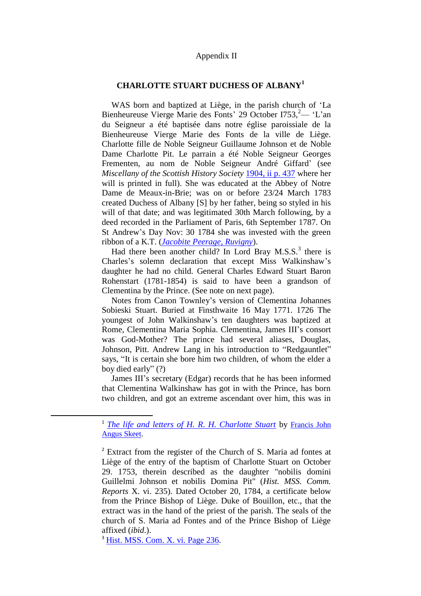## Appendix II

## **CHARLOTTE STUART DUCHESS OF ALBANY<sup>1</sup>**

WAS born and baptized at Liège, in the parish church of 'La Bienheureuse Vierge Marie des Fonts' 29 October  $1753$ ,  $^{2}$ — 'L'an du Seigneur a été baptisée dans notre église paroissiale de la Bienheureuse Vierge Marie des Fonts de la ville de Liège. Charlotte fille de Noble Seigneur Guillaume Johnson et de Noble Dame Charlotte Pit. Le parrain a été Noble Seigneur Georges Frementen, au nom de Noble Seigneur André Giffard' (see *Miscellany of the Scottish History Society* [1904, ii p. 437](http://books.google.com/books?id=tgAdAAAAMAAJ&dq=Miscellany%20of%20the%20Scottish%20History%20Society%201904&pg=PA437#v=onepage&q=Miscellany%20of%20the%20Scottish%20History%20Society%201904&f=false) where her will is printed in full). She was educated at the Abbey of Notre Dame de Meaux-in-Brie; was on or before 23/24 March 1783 created Duchess of Albany [S] by her father, being so styled in his will of that date; and was legitimated 30th March following, by a deed recorded in the Parliament of Paris, 6th September 1787. On St Andrew's Day Nov: 30 1784 she was invested with the green ribbon of a K.T. (*[Jacobite Peerage, Ruvigny](http://books.google.com/books?id=WrUEAAAAIAAJ&lpg=PA1&ots=-FFOb4Gwqw&dq=Noble%20Seigneur%20Georges%20Frementen%2C%20au%20nom%20de%20Noble%20Seigneur%20Andr%C3%A9%20Giffard&pg=PA1#v=onepage&q&f=false)*).

Had there been another child? In Lord Bray M.S.S. $3$  there is Charles's solemn declaration that except Miss Walkinshaw's daughter he had no child. General Charles Edward Stuart Baron Rohenstart (1781-1854) is said to have been a grandson of Clementina by the Prince. (See note on next page).

Notes from Canon Townley's version of Clementina Johannes Sobieski Stuart. Buried at Finsthwaite 16 May 1771. 1726 The youngest of John Walkinshaw's ten daughters was baptized at Rome, Clementina Maria Sophia. Clementina, James III's consort was God-Mother? The prince had several aliases, Douglas, Johnson, Pitt. Andrew Lang in his introduction to "Redgauntlet" says, "It is certain she bore him two children, of whom the elder a boy died early" (?)

James III's secretary (Edgar) records that he has been informed that Clementina Walkinshaw has got in with the Prince, has born two children, and got an extreme ascendant over him, this was in

<sup>3</sup> [Hist. MSS. Com. X. vi.](http://books.google.com/books?id=4tMLAQAAIAAJ&dq=Historical%20Manuscripts%20Commission%20XI.%20vi.%20Lord%20Braye&pg=PA236#v=onepage&q=Clementina%20&f=false) Page 236.

1

<sup>&</sup>lt;sup>1</sup> *[The life and letters of H. R. H. Charlotte Stuart](http://books.google.com/books?id=ZrFkAAAAMAAJ&q=La+Bienheureuse+Vierge+Marie+des+Fonts&dq=La+Bienheureuse+Vierge+Marie+des+Fonts&hl=en&ei=uHBrTvzQOOWvsQKYsaS6BA&sa=X&oi=book_result&ct=result&resnum=3&ved=0CDsQ6AEwAg)* by Francis John [Angus Skeet.](http://www.google.com/search?tbo=p&tbm=bks&q=inauthor:%22Francis+John+Angus+Skeet%22)

<sup>2</sup> Extract from the register of the Church of S. Maria ad fontes at Liège of the entry of the baptism of Charlotte Stuart on October 29. 1753, therein described as the daughter "nobilis domini Guillelmi Johnson et nobilis Domina Pit" (*Hist. MSS. Comm. Reports* X. vi. 235). Dated October 20, 1784, a certificate below from the Prince Bishop of Liège. Duke of Bouillon, etc., that the extract was in the hand of the priest of the parish. The seals of the church of S. Maria ad Fontes and of the Prince Bishop of Liège affixed (*ibid*.).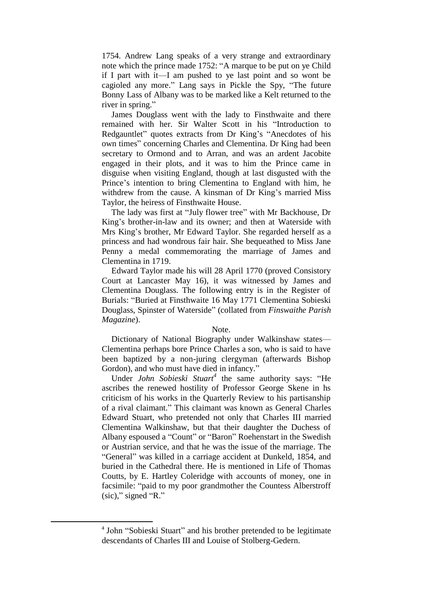1754. Andrew Lang speaks of a very strange and extraordinary note which the prince made 1752: "A marque to be put on ye Child if I part with it—I am pushed to ye last point and so wont be cagioled any more." Lang says in Pickle the Spy, "The future Bonny Lass of Albany was to be marked like a Kelt returned to the river in spring."

James Douglass went with the lady to Finsthwaite and there remained with her. Sir Walter Scott in his "Introduction to Redgauntlet" quotes extracts from Dr King's "Anecdotes of his own times" concerning Charles and Clementina. Dr King had been secretary to Ormond and to Arran, and was an ardent Jacobite engaged in their plots, and it was to him the Prince came in disguise when visiting England, though at last disgusted with the Prince's intention to bring Clementina to England with him, he withdrew from the cause. A kinsman of Dr King's married Miss Taylor, the heiress of Finsthwaite House.

The lady was first at "July flower tree" with Mr Backhouse, Dr King's brother-in-law and its owner; and then at Waterside with Mrs King's brother, Mr Edward Taylor. She regarded herself as a princess and had wondrous fair hair. She bequeathed to Miss Jane Penny a medal commemorating the marriage of James and Clementina in 1719.

Edward Taylor made his will 28 April 1770 (proved Consistory Court at Lancaster May 16), it was witnessed by James and Clementina Douglass. The following entry is in the Register of Burials: "Buried at Finsthwaite 16 May 1771 Clementina Sobieski Douglass, Spinster of Waterside" (collated from *Finswaithe Parish Magazine*).

## Note.

Dictionary of National Biography under Walkinshaw states— Clementina perhaps bore Prince Charles a son, who is said to have been baptized by a non-juring clergyman (afterwards Bishop Gordon), and who must have died in infancy."

Under *John Sobieski Stuart<sup>4</sup>* the same authority says: "He ascribes the renewed hostility of Professor George Skene in hs criticism of his works in the Quarterly Review to his partisanship of a rival claimant." This claimant was known as General Charles Edward Stuart, who pretended not only that Charles III married Clementina Walkinshaw, but that their daughter the Duchess of Albany espoused a "Count" or "Baron" Roehenstart in the Swedish or Austrian service, and that he was the issue of the marriage. The "General" was killed in a carriage accident at Dunkeld, 1854, and buried in the Cathedral there. He is mentioned in Life of Thomas Coutts, by E. Hartley Coleridge with accounts of money, one in facsimile: "paid to my poor grandmother the Countess Alberstroff (sic)," signed "R."

1

<sup>&</sup>lt;sup>4</sup> John "Sobieski Stuart" and his brother pretended to be legitimate descendants of Charles III and Louise of Stolberg-Gedern.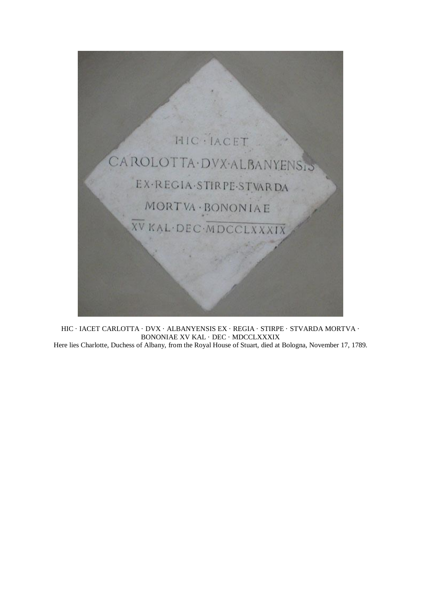

<code>HIC</code>  $\cdot$  <code>IACET</code> <code>CARLOTTA</code>  $\cdot$  <code>DVX</code>  $\cdot$  <code>ALBANYENSIS</code> EX  $\cdot$  <code>REGIA</code>  $\cdot$  <code>STIRPE</code>  $\cdot$  <code>STVARDA MORTVA</code>  $\cdot$ BONONIAE XV KAL · DEC · MDCCLXXXIX Here lies Charlotte, Duchess of Albany, from the Royal House of Stuart, died at Bologna, November 17, 1789.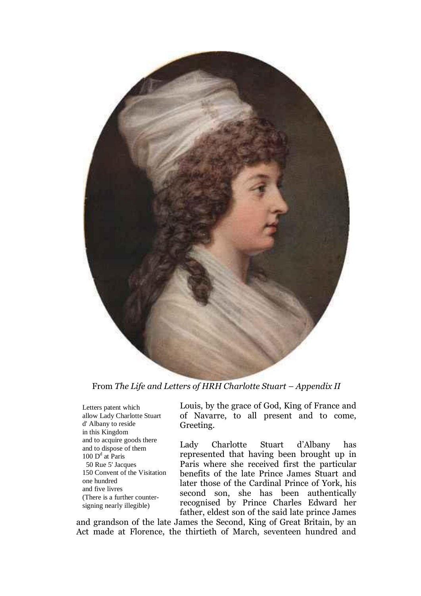

From *The Life and Letters of HRH Charlotte Stuart – Appendix II* 

Letters patent which allow Lady Charlotte Stuart d' Albany to reside in this Kingdom and to acquire goods there and to dispose of them 100 D<sup>d</sup> at Paris 50 Rue 5' Jacques 150 Convent of the Visitation one hundred and five livres (There is a further countersigning nearly illegible)

Louis, by the grace of God, King of France and of Navarre, to all present and to come, Greeting.

Lady Charlotte Stuart d'Albany has represented that having been brought up in Paris where she received first the particular benefits of the late Prince James Stuart and later those of the Cardinal Prince of York, his second son, she has been authentically recognised by Prince Charles Edward her father, eldest son of the said late prince James

and grandson of the late James the Second, King of Great Britain, by an Act made at Florence, the thirtieth of March, seventeen hundred and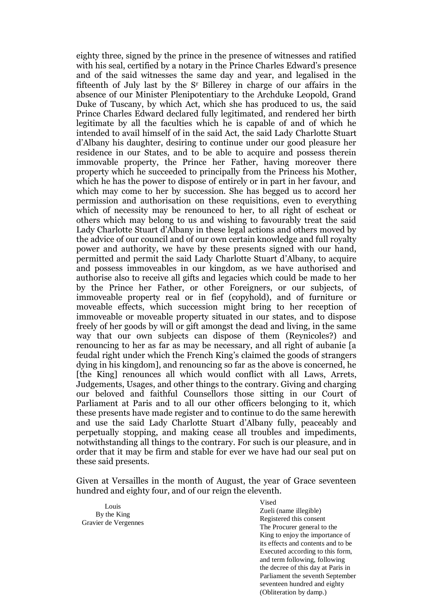eighty three, signed by the prince in the presence of witnesses and ratified with his seal, certified by a notary in the Prince Charles Edward's presence and of the said witnesses the same day and year, and legalised in the fifteenth of July last by the S<sup>r</sup> Billerey in charge of our affairs in the absence of our Minister Plenipotentiary to the Archduke Leopold, Grand Duke of Tuscany, by which Act, which she has produced to us, the said Prince Charles Edward declared fully legitimated, and rendered her birth legitimate by all the faculties which he is capable of and of which he intended to avail himself of in the said Act, the said Lady Charlotte Stuart d'Albany his daughter, desiring to continue under our good pleasure her residence in our States, and to be able to acquire and possess therein immovable property, the Prince her Father, having moreover there property which he succeeded to principally from the Princess his Mother, which he has the power to dispose of entirely or in part in her favour, and which may come to her by succession. She has begged us to accord her permission and authorisation on these requisitions, even to everything which of necessity may be renounced to her, to all right of escheat or others which may belong to us and wishing to favourably treat the said Lady Charlotte Stuart d'Albany in these legal actions and others moved by the advice of our council and of our own certain knowledge and full royalty power and authority, we have by these presents signed with our hand, permitted and permit the said Lady Charlotte Stuart d'Albany, to acquire and possess immoveables in our kingdom, as we have authorised and authorise also to receive all gifts and legacies which could be made to her by the Prince her Father, or other Foreigners, or our subjects, of immoveable property real or in fief (copyhold), and of furniture or moveable effects, which succession might bring to her reception of immoveable or moveable property situated in our states, and to dispose freely of her goods by will or gift amongst the dead and living, in the same way that our own subjects can dispose of them (Reynicoles?) and renouncing to her as far as may be necessary, and all right of aubanie [a feudal right under which the French King's claimed the goods of strangers dying in his kingdom], and renouncing so far as the above is concerned, he [the King] renounces all which would conflict with all Laws, Arrets, Judgements, Usages, and other things to the contrary. Giving and charging our beloved and faithful Counsellors those sitting in our Court of Parliament at Paris and to all our other officers belonging to it, which these presents have made register and to continue to do the same herewith and use the said Lady Charlotte Stuart d'Albany fully, peaceably and perpetually stopping, and making cease all troubles and impediments, notwithstanding all things to the contrary. For such is our pleasure, and in order that it may be firm and stable for ever we have had our seal put on these said presents.

Given at Versailles in the month of August, the year of Grace seventeen hundred and eighty four, and of our reign the eleventh.

Louis By the King Gravier de Vergennes Vised Zueli (name illegible) Registered this consent The Procurer general to the King to enjoy the importance of its effects and contents and to be Executed according to this form, and term following, following the decree of this day at Paris in Parliament the seventh September seventeen hundred and eighty

(Obliteration by damp.)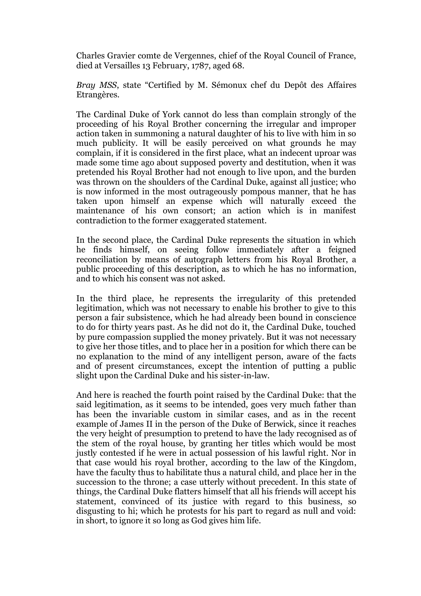Charles Gravier comte de Vergennes, chief of the Royal Council of France, died at Versailles 13 February, 1787, aged 68.

*Bray MSS*, state "Certified by M. Sémonux chef du Depôt des Affaires Etrangères.

The Cardinal Duke of York cannot do less than complain strongly of the proceeding of his Royal Brother concerning the irregular and improper action taken in summoning a natural daughter of his to live with him in so much publicity. It will be easily perceived on what grounds he may complain, if it is considered in the first place, what an indecent uproar was made some time ago about supposed poverty and destitution, when it was pretended his Royal Brother had not enough to live upon, and the burden was thrown on the shoulders of the Cardinal Duke, against all justice; who is now informed in the most outrageously pompous manner, that he has taken upon himself an expense which will naturally exceed the maintenance of his own consort; an action which is in manifest contradiction to the former exaggerated statement.

In the second place, the Cardinal Duke represents the situation in which he finds himself, on seeing follow immediately after a feigned reconciliation by means of autograph letters from his Royal Brother, a public proceeding of this description, as to which he has no information, and to which his consent was not asked.

In the third place, he represents the irregularity of this pretended legitimation, which was not necessary to enable his brother to give to this person a fair subsistence, which he had already been bound in conscience to do for thirty years past. As he did not do it, the Cardinal Duke, touched by pure compassion supplied the money privately. But it was not necessary to give her those titles, and to place her in a position for which there can be no explanation to the mind of any intelligent person, aware of the facts and of present circumstances, except the intention of putting a public slight upon the Cardinal Duke and his sister-in-law.

And here is reached the fourth point raised by the Cardinal Duke: that the said legitimation, as it seems to be intended, goes very much father than has been the invariable custom in similar cases, and as in the recent example of James II in the person of the Duke of Berwick, since it reaches the very height of presumption to pretend to have the lady recognised as of the stem of the royal house, by granting her titles which would be most justly contested if he were in actual possession of his lawful right. Nor in that case would his royal brother, according to the law of the Kingdom, have the faculty thus to habilitate thus a natural child, and place her in the succession to the throne; a case utterly without precedent. In this state of things, the Cardinal Duke flatters himself that all his friends will accept his statement, convinced of its justice with regard to this business, so disgusting to hi; which he protests for his part to regard as null and void: in short, to ignore it so long as God gives him life.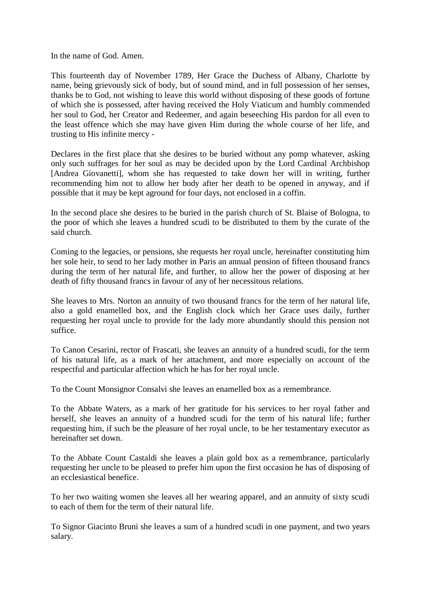In the name of God. Amen.

This fourteenth day of November 1789, Her Grace the Duchess of Albany, Charlotte by name, being grievously sick of body, but of sound mind, and in full possession of her senses, thanks be to God, not wishing to leave this world without disposing of these goods of fortune of which she is possessed, after having received the Holy Viaticum and humbly commended her soul to God, her Creator and Redeemer, and again beseeching His pardon for all even to the least offence which she may have given Him during the whole course of her life, and trusting to His infinite mercy -

Declares in the first place that she desires to be buried without any pomp whatever, asking only such suffrages for her soul as may be decided upon by the Lord Cardinal Archbishop [Andrea Giovanetti], whom she has requested to take down her will in writing, further recommending him not to allow her body after her death to be opened in anyway, and if possible that it may be kept aground for four days, not enclosed in a coffin.

In the second place she desires to be buried in the parish church of St. Blaise of Bologna, to the poor of which she leaves a hundred scudi to be distributed to them by the curate of the said church.

Coming to the legacies, or pensions, she requests her royal uncle, hereinafter constituting him her sole heir, to send to her lady mother in Paris an annual pension of fifteen thousand francs during the term of her natural life, and further, to allow her the power of disposing at her death of fifty thousand francs in favour of any of her necessitous relations.

She leaves to Mrs. Norton an annuity of two thousand francs for the term of her natural life, also a gold enamelled box, and the English clock which her Grace uses daily, further requesting her royal uncle to provide for the lady more abundantly should this pension not suffice.

To Canon Cesarini, rector of Frascati, she leaves an annuity of a hundred scudi, for the term of his natural life, as a mark of her attachment, and more especially on account of the respectful and particular affection which he has for her royal uncle.

To the Count Monsignor Consalvi she leaves an enamelled box as a remembrance.

To the Abbate Waters, as a mark of her gratitude for his services to her royal father and herself, she leaves an annuity of a hundred scudi for the term of his natural life; further requesting him, if such be the pleasure of her royal uncle, to be her testamentary executor as hereinafter set down.

To the Abbate Count Castaldi she leaves a plain gold box as a remembrance, particularly requesting her uncle to be pleased to prefer him upon the first occasion he has of disposing of an ecclesiastical benefice.

To her two waiting women she leaves all her wearing apparel, and an annuity of sixty scudi to each of them for the term of their natural life.

To Signor Giacinto Bruni she leaves a sum of a hundred scudi in one payment, and two years salary.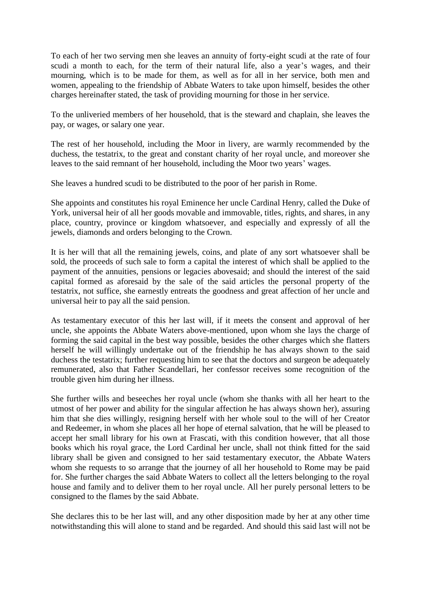To each of her two serving men she leaves an annuity of forty-eight scudi at the rate of four scudi a month to each, for the term of their natural life, also a year's wages, and their mourning, which is to be made for them, as well as for all in her service, both men and women, appealing to the friendship of Abbate Waters to take upon himself, besides the other charges hereinafter stated, the task of providing mourning for those in her service.

To the unliveried members of her household, that is the steward and chaplain, she leaves the pay, or wages, or salary one year.

The rest of her household, including the Moor in livery, are warmly recommended by the duchess, the testatrix, to the great and constant charity of her royal uncle, and moreover she leaves to the said remnant of her household, including the Moor two years' wages.

She leaves a hundred scudi to be distributed to the poor of her parish in Rome.

She appoints and constitutes his royal Eminence her uncle Cardinal Henry, called the Duke of York, universal heir of all her goods movable and immovable, titles, rights, and shares, in any place, country, province or kingdom whatsoever, and especially and expressly of all the jewels, diamonds and orders belonging to the Crown.

It is her will that all the remaining jewels, coins, and plate of any sort whatsoever shall be sold, the proceeds of such sale to form a capital the interest of which shall be applied to the payment of the annuities, pensions or legacies abovesaid; and should the interest of the said capital formed as aforesaid by the sale of the said articles the personal property of the testatrix, not suffice, she earnestly entreats the goodness and great affection of her uncle and universal heir to pay all the said pension.

As testamentary executor of this her last will, if it meets the consent and approval of her uncle, she appoints the Abbate Waters above-mentioned, upon whom she lays the charge of forming the said capital in the best way possible, besides the other charges which she flatters herself he will willingly undertake out of the friendship he has always shown to the said duchess the testatrix; further requesting him to see that the doctors and surgeon be adequately remunerated, also that Father Scandellari, her confessor receives some recognition of the trouble given him during her illness.

She further wills and beseeches her royal uncle (whom she thanks with all her heart to the utmost of her power and ability for the singular affection he has always shown her), assuring him that she dies willingly, resigning herself with her whole soul to the will of her Creator and Redeemer, in whom she places all her hope of eternal salvation, that he will be pleased to accept her small library for his own at Frascati, with this condition however, that all those books which his royal grace, the Lord Cardinal her uncle, shall not think fitted for the said library shall be given and consigned to her said testamentary executor, the Abbate Waters whom she requests to so arrange that the journey of all her household to Rome may be paid for. She further charges the said Abbate Waters to collect all the letters belonging to the royal house and family and to deliver them to her royal uncle. All her purely personal letters to be consigned to the flames by the said Abbate.

She declares this to be her last will, and any other disposition made by her at any other time notwithstanding this will alone to stand and be regarded. And should this said last will not be